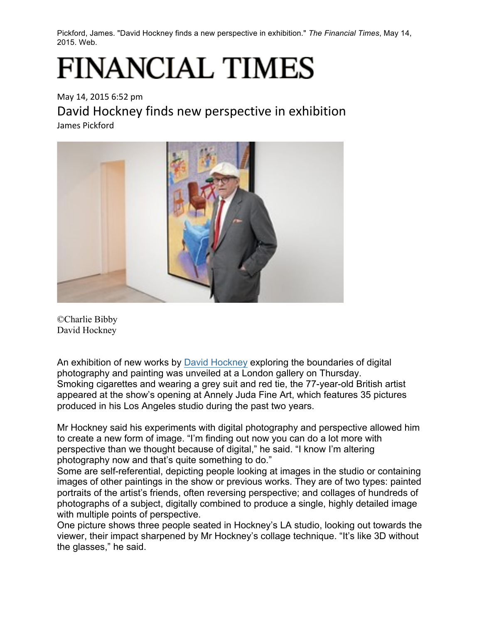Pickford, James. "David Hockney finds a new perspective in exhibition." *The Financial Times*, May 14, 2015. Web.

## **FINANCIAL TIMES**

May 14, 2015 6:52 pm David Hockney finds new perspective in exhibition James Pickford



©Charlie Bibby David Hockney

An exhibition of new works by David Hockney exploring the boundaries of digital photography and painting was unveiled at a London gallery on Thursday. Smoking cigarettes and wearing a grey suit and red tie, the 77-year-old British artist appeared at the show's opening at Annely Juda Fine Art, which features 35 pictures produced in his Los Angeles studio during the past two years.

Mr Hockney said his experiments with digital photography and perspective allowed him to create a new form of image. "I'm finding out now you can do a lot more with perspective than we thought because of digital," he said. "I know I'm altering photography now and that's quite something to do."

Some are self-referential, depicting people looking at images in the studio or containing images of other paintings in the show or previous works. They are of two types: painted portraits of the artist's friends, often reversing perspective; and collages of hundreds of photographs of a subject, digitally combined to produce a single, highly detailed image with multiple points of perspective.

One picture shows three people seated in Hockney's LA studio, looking out towards the viewer, their impact sharpened by Mr Hockney's collage technique. "It's like 3D without the glasses," he said.